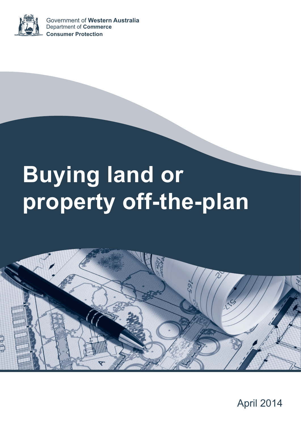## April 2014



# **Buying land or property off-the-plan**



Government of **Western Australia** Department of **Commerce Consumer Protection**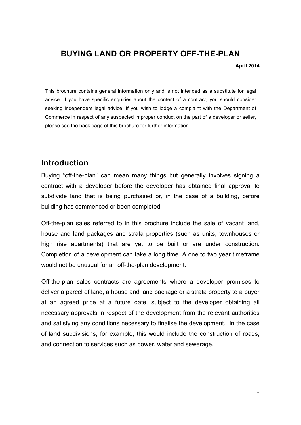## **BUYING LAND OR PROPERTY OFF-THE-PLAN**

**April 2014**

This brochure contains general information only and is not intended as a substitute for legal advice. If you have specific enquiries about the content of a contract, you should consider seeking independent legal advice. If you wish to lodge a complaint with the Department of Commerce in respect of any suspected improper conduct on the part of a developer or seller, please see the back page of this brochure for further information.

### **Introduction**

Buying "off-the-plan" can mean many things but generally involves signing a contract with a developer before the developer has obtained final approval to subdivide land that is being purchased or, in the case of a building, before building has commenced or been completed.

Off-the-plan sales referred to in this brochure include the sale of vacant land, house and land packages and strata properties (such as units, townhouses or high rise apartments) that are yet to be built or are under construction. Completion of a development can take a long time. A one to two year timeframe would not be unusual for an off-the-plan development.

Off-the-plan sales contracts are agreements where a developer promises to deliver a parcel of land, a house and land package or a strata property to a buyer at an agreed price at a future date, subject to the developer obtaining all necessary approvals in respect of the development from the relevant authorities and satisfying any conditions necessary to finalise the development. In the case of land subdivisions, for example, this would include the construction of roads, and connection to services such as power, water and sewerage.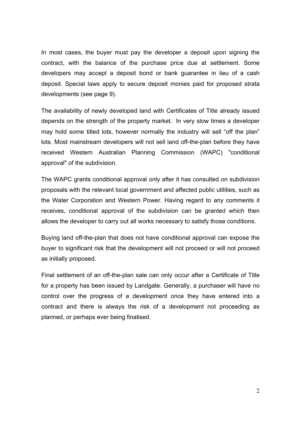In most cases, the buyer must pay the developer a deposit upon signing the contract, with the balance of the purchase price due at settlement. Some developers may accept a deposit bond or bank guarantee in lieu of a cash deposit. Special laws apply to secure deposit monies paid for proposed strata developments (see page 9).

The availability of newly developed land with Certificates of Title already issued depends on the strength of the property market. In very slow times a developer may hold some titled lots, however normally the industry will sell "off the plan" lots. Most mainstream developers will not sell land off-the-plan before they have received Western Australian Planning Commission (WAPC) "conditional approval" of the subdivision.

The WAPC grants conditional approval only after it has consulted on subdivision proposals with the relevant local government and affected public utilities, such as the Water Corporation and Western Power. Having regard to any comments it receives, conditional approval of the subdivision can be granted which then allows the developer to carry out all works necessary to satisfy those conditions.

Buying land off-the-plan that does not have conditional approval can expose the buyer to significant risk that the development will not proceed or will not proceed as initially proposed.

Final settlement of an off-the-plan sale can only occur after a Certificate of Title for a property has been issued by Landgate. Generally, a purchaser will have no control over the progress of a development once they have entered into a contract and there is always the risk of a development not proceeding as planned, or perhaps ever being finalised.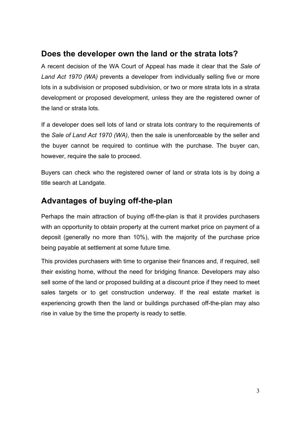## **Does the developer own the land or the strata lots?**

A recent decision of the WA Court of Appeal has made it clear that the *Sale of Land Act 1970 (WA)* prevents a developer from individually selling five or more lots in a subdivision or proposed subdivision, or two or more strata lots in a strata development or proposed development, unless they are the registered owner of the land or strata lots.

If a developer does sell lots of land or strata lots contrary to the requirements of the *Sale of Land Act 1970 (WA)*, then the sale is unenforceable by the seller and the buyer cannot be required to continue with the purchase. The buyer can, however, require the sale to proceed.

Buyers can check who the registered owner of land or strata lots is by doing a title search at Landgate.

## **Advantages of buying off-the-plan**

Perhaps the main attraction of buying off-the-plan is that it provides purchasers with an opportunity to obtain property at the current market price on payment of a deposit (generally no more than 10%), with the majority of the purchase price being payable at settlement at some future time.

This provides purchasers with time to organise their finances and, if required, sell their existing home, without the need for bridging finance. Developers may also sell some of the land or proposed building at a discount price if they need to meet sales targets or to get construction underway. If the real estate market is experiencing growth then the land or buildings purchased off-the-plan may also rise in value by the time the property is ready to settle.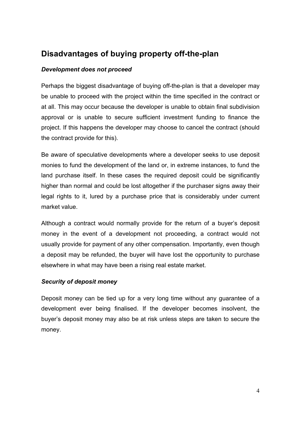## **Disadvantages of buying property off-the-plan**

#### *Development does not proceed*

Perhaps the biggest disadvantage of buying off-the-plan is that a developer may be unable to proceed with the project within the time specified in the contract or at all. This may occur because the developer is unable to obtain final subdivision approval or is unable to secure sufficient investment funding to finance the project. If this happens the developer may choose to cancel the contract (should the contract provide for this).

Be aware of speculative developments where a developer seeks to use deposit monies to fund the development of the land or, in extreme instances, to fund the land purchase itself. In these cases the required deposit could be significantly higher than normal and could be lost altogether if the purchaser signs away their legal rights to it, lured by a purchase price that is considerably under current market value.

Although a contract would normally provide for the return of a buyer's deposit money in the event of a development not proceeding, a contract would not usually provide for payment of any other compensation. Importantly, even though a deposit may be refunded, the buyer will have lost the opportunity to purchase elsewhere in what may have been a rising real estate market.

#### *Security of deposit money*

Deposit money can be tied up for a very long time without any guarantee of a development ever being finalised. If the developer becomes insolvent, the buyer's deposit money may also be at risk unless steps are taken to secure the money.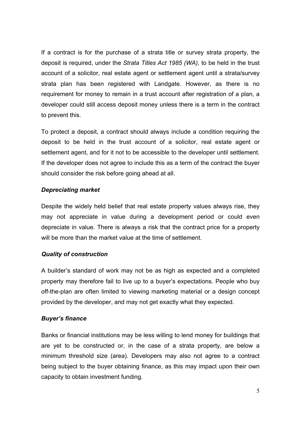If a contract is for the purchase of a strata title or survey strata property, the deposit is required, under the *Strata Titles Act 1985 (WA),* to be held in the trust account of a solicitor, real estate agent or settlement agent until a strata/survey strata plan has been registered with Landgate. However, as there is no requirement for money to remain in a trust account after registration of a plan, a developer could still access deposit money unless there is a term in the contract to prevent this.

To protect a deposit, a contract should always include a condition requiring the deposit to be held in the trust account of a solicitor, real estate agent or settlement agent, and for it not to be accessible to the developer until settlement. If the developer does not agree to include this as a term of the contract the buyer should consider the risk before going ahead at all.

#### *Depreciating market*

Despite the widely held belief that real estate property values always rise, they may not appreciate in value during a development period or could even depreciate in value. There is always a risk that the contract price for a property will be more than the market value at the time of settlement.

#### *Quality of construction*

A builder's standard of work may not be as high as expected and a completed property may therefore fail to live up to a buyer's expectations. People who buy off-the-plan are often limited to viewing marketing material or a design concept provided by the developer, and may not get exactly what they expected.

#### *Buyer's finance*

Banks or financial institutions may be less willing to lend money for buildings that are yet to be constructed or, in the case of a strata property, are below a minimum threshold size (area). Developers may also not agree to a contract being subject to the buyer obtaining finance, as this may impact upon their own capacity to obtain investment funding.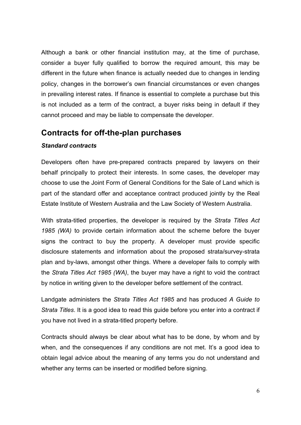Although a bank or other financial institution may, at the time of purchase, consider a buyer fully qualified to borrow the required amount, this may be different in the future when finance is actually needed due to changes in lending policy, changes in the borrower's own financial circumstances or even changes in prevailing interest rates. If finance is essential to complete a purchase but this is not included as a term of the contract, a buyer risks being in default if they cannot proceed and may be liable to compensate the developer.

#### **Contracts for off-the-plan purchases**

#### *Standard contracts*

Developers often have pre-prepared contracts prepared by lawyers on their behalf principally to protect their interests. In some cases, the developer may choose to use the Joint Form of General Conditions for the Sale of Land which is part of the standard offer and acceptance contract produced jointly by the Real Estate Institute of Western Australia and the Law Society of Western Australia.

With strata-titled properties, the developer is required by the *Strata Titles Act 1985 (WA)* to provide certain information about the scheme before the buyer signs the contract to buy the property. A developer must provide specific disclosure statements and information about the proposed strata/survey-strata plan and by-laws, amongst other things. Where a developer fails to comply with the *Strata Titles Act 1985 (WA)*, the buyer may have a right to void the contract by notice in writing given to the developer before settlement of the contract.

Landgate administers the *Strata Titles Act 1985* and has produced *A Guide to Strata Titles*. It is a good idea to read this guide before you enter into a contract if you have not lived in a strata-titled property before.

Contracts should always be clear about what has to be done, by whom and by when, and the consequences if any conditions are not met. It's a good idea to obtain legal advice about the meaning of any terms you do not understand and whether any terms can be inserted or modified before signing.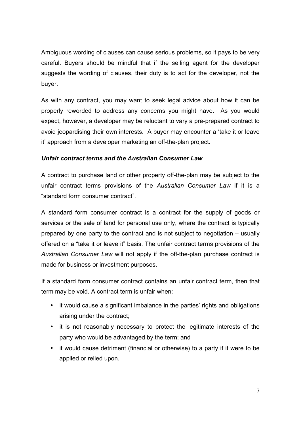Ambiguous wording of clauses can cause serious problems, so it pays to be very careful. Buyers should be mindful that if the selling agent for the developer suggests the wording of clauses, their duty is to act for the developer, not the buyer.

As with any contract, you may want to seek legal advice about how it can be properly reworded to address any concerns you might have. As you would expect, however, a developer may be reluctant to vary a pre-prepared contract to avoid jeopardising their own interests. A buyer may encounter a 'take it or leave it' approach from a developer marketing an off-the-plan project.

#### *Unfair contract terms and the Australian Consumer Law*

A contract to purchase land or other property off-the-plan may be subject to the unfair contract terms provisions of the *Australian Consumer Law* if it is a "standard form consumer contract".

A standard form consumer contract is a contract for the supply of goods or services or the sale of land for personal use only, where the contract is typically prepared by one party to the contract and is not subject to negotiation – usually offered on a "take it or leave it" basis. The unfair contract terms provisions of the *Australian Consumer Law* will not apply if the off-the-plan purchase contract is made for business or investment purposes.

If a standard form consumer contract contains an unfair contract term, then that term may be void. A contract term is unfair when:

- it would cause a significant imbalance in the parties' rights and obligations arising under the contract;
- it is not reasonably necessary to protect the legitimate interests of the party who would be advantaged by the term; and
- it would cause detriment (financial or otherwise) to a party if it were to be applied or relied upon.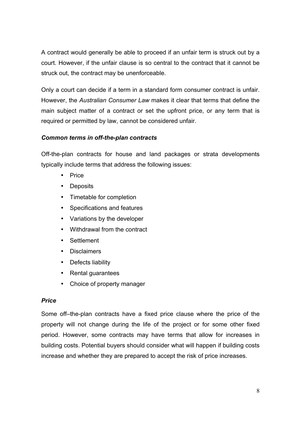A contract would generally be able to proceed if an unfair term is struck out by a court. However, if the unfair clause is so central to the contract that it cannot be struck out, the contract may be unenforceable.

Only a court can decide if a term in a standard form consumer contract is unfair. However, the *Australian Consumer Law* makes it clear that terms that define the main subject matter of a contract or set the upfront price, or any term that is required or permitted by law, cannot be considered unfair.

#### *Common terms in off-the-plan contracts*

Off-the-plan contracts for house and land packages or strata developments typically include terms that address the following issues:

- Price
- Deposits
- Timetable for completion
- Specifications and features
- Variations by the developer
- Withdrawal from the contract
- Settlement
- Disclaimers
- Defects liability
- Rental guarantees
- Choice of property manager

#### *Price*

Some off–the-plan contracts have a fixed price clause where the price of the property will not change during the life of the project or for some other fixed period. However, some contracts may have terms that allow for increases in building costs. Potential buyers should consider what will happen if building costs increase and whether they are prepared to accept the risk of price increases.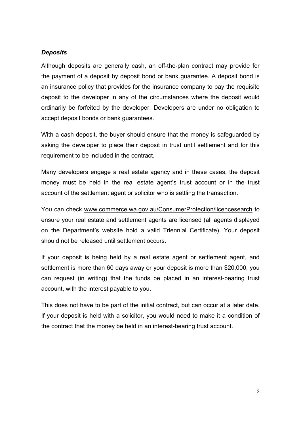#### *Deposits*

Although deposits are generally cash, an off-the-plan contract may provide for the payment of a deposit by deposit bond or bank guarantee. A deposit bond is an insurance policy that provides for the insurance company to pay the requisite deposit to the developer in any of the circumstances where the deposit would ordinarily be forfeited by the developer. Developers are under no obligation to accept deposit bonds or bank guarantees.

With a cash deposit, the buyer should ensure that the money is safeguarded by asking the developer to place their deposit in trust until settlement and for this requirement to be included in the contract.

Many developers engage a real estate agency and in these cases, the deposit money must be held in the real estate agent's trust account or in the trust account of the settlement agent or solicitor who is settling the transaction.

You can check www.commerce.wa.gov.au/ConsumerProtection/licencesearch to ensure your real estate and settlement agents are licensed (all agents displayed on the Department's website hold a valid Triennial Certificate). Your deposit should not be released until settlement occurs.

If your deposit is being held by a real estate agent or settlement agent, and settlement is more than 60 days away or your deposit is more than \$20,000, you can request (in writing) that the funds be placed in an interest-bearing trust account, with the interest payable to you.

This does not have to be part of the initial contract, but can occur at a later date. If your deposit is held with a solicitor, you would need to make it a condition of the contract that the money be held in an interest-bearing trust account.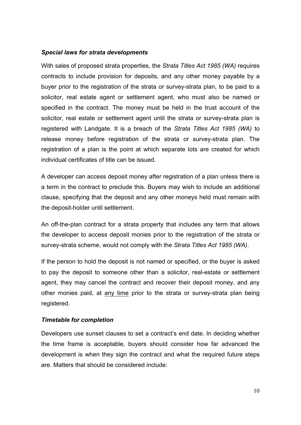#### *Special laws for strata developments*

With sales of proposed strata properties, the *Strata Titles Act 1985 (WA)* requires contracts to include provision for deposits, and any other money payable by a buyer prior to the registration of the strata or survey-strata plan, to be paid to a solicitor, real estate agent or settlement agent, who must also be named or specified in the contract. The money must be held in the trust account of the solicitor, real estate or settlement agent until the strata or survey-strata plan is registered with Landgate. It is a breach of the *Strata Titles Act 1985 (WA)* to release money before registration of the strata or survey-strata plan. The registration of a plan is the point at which separate lots are created for which individual certificates of title can be issued.

A developer can access deposit money after registration of a plan unless there is a term in the contract to preclude this. Buyers may wish to include an additional clause, specifying that the deposit and any other moneys held must remain with the deposit-holder until settlement.

An off-the-plan contract for a strata property that includes any term that allows the developer to access deposit monies prior to the registration of the strata or survey-strata scheme, would not comply with the *Strata Titles Act 1985 (WA)*.

If the person to hold the deposit is not named or specified, or the buyer is asked to pay the deposit to someone other than a solicitor, real-estate or settlement agent, they may cancel the contract and recover their deposit money, and any other monies paid, at any time prior to the strata or survey-strata plan being registered.

#### *Timetable for completion*

Developers use sunset clauses to set a contract's end date. In deciding whether the time frame is acceptable, buyers should consider how far advanced the development is when they sign the contract and what the required future steps are. Matters that should be considered include: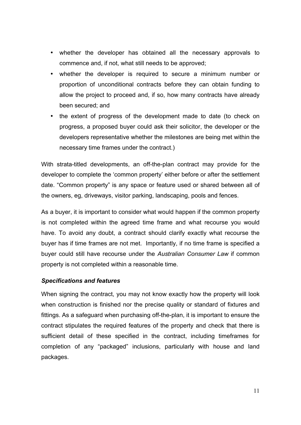- whether the developer has obtained all the necessary approvals to commence and, if not, what still needs to be approved;
- whether the developer is required to secure a minimum number or proportion of unconditional contracts before they can obtain funding to allow the project to proceed and, if so, how many contracts have already been secured; and
- the extent of progress of the development made to date (to check on progress, a proposed buyer could ask their solicitor, the developer or the developers representative whether the milestones are being met within the necessary time frames under the contract.)

With strata-titled developments, an off-the-plan contract may provide for the developer to complete the 'common property' either before or after the settlement date. "Common property" is any space or feature used or shared between all of the owners, eg, driveways, visitor parking, landscaping, pools and fences.

As a buyer, it is important to consider what would happen if the common property is not completed within the agreed time frame and what recourse you would have. To avoid any doubt, a contract should clarify exactly what recourse the buyer has if time frames are not met. Importantly, if no time frame is specified a buyer could still have recourse under the *Australian Consumer Law* if common property is not completed within a reasonable time.

#### *Specifications and features*

When signing the contract, you may not know exactly how the property will look when construction is finished nor the precise quality or standard of fixtures and fittings. As a safeguard when purchasing off-the-plan, it is important to ensure the contract stipulates the required features of the property and check that there is sufficient detail of these specified in the contract, including timeframes for completion of any "packaged" inclusions, particularly with house and land packages.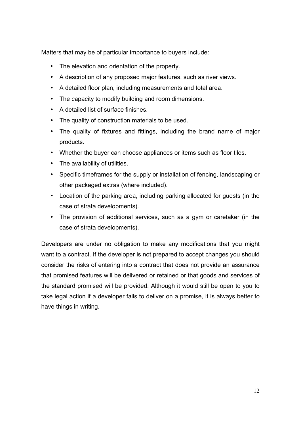Matters that may be of particular importance to buyers include:

- The elevation and orientation of the property.
- A description of any proposed major features, such as river views.
- A detailed floor plan, including measurements and total area.
- The capacity to modify building and room dimensions.
- A detailed list of surface finishes.
- The quality of construction materials to be used.
- The quality of fixtures and fittings, including the brand name of major products.
- Whether the buyer can choose appliances or items such as floor tiles.
- The availability of utilities.
- Specific timeframes for the supply or installation of fencing, landscaping or other packaged extras (where included).
- Location of the parking area, including parking allocated for guests (in the case of strata developments).
- The provision of additional services, such as a gym or caretaker (in the case of strata developments).

Developers are under no obligation to make any modifications that you might want to a contract. If the developer is not prepared to accept changes you should consider the risks of entering into a contract that does not provide an assurance that promised features will be delivered or retained or that goods and services of the standard promised will be provided. Although it would still be open to you to take legal action if a developer fails to deliver on a promise, it is always better to have things in writing.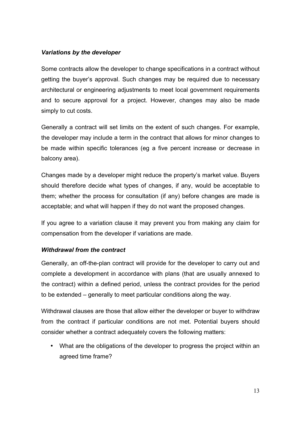#### *Variations by the developer*

Some contracts allow the developer to change specifications in a contract without getting the buyer's approval. Such changes may be required due to necessary architectural or engineering adjustments to meet local government requirements and to secure approval for a project. However, changes may also be made simply to cut costs.

Generally a contract will set limits on the extent of such changes. For example, the developer may include a term in the contract that allows for minor changes to be made within specific tolerances (eg a five percent increase or decrease in balcony area).

Changes made by a developer might reduce the property's market value. Buyers should therefore decide what types of changes, if any, would be acceptable to them; whether the process for consultation (if any) before changes are made is acceptable; and what will happen if they do not want the proposed changes.

If you agree to a variation clause it may prevent you from making any claim for compensation from the developer if variations are made.

#### *Withdrawal from the contract*

Generally, an off-the-plan contract will provide for the developer to carry out and complete a development in accordance with plans (that are usually annexed to the contract) within a defined period, unless the contract provides for the period to be extended – generally to meet particular conditions along the way.

Withdrawal clauses are those that allow either the developer or buyer to withdraw from the contract if particular conditions are not met. Potential buyers should consider whether a contract adequately covers the following matters:

• What are the obligations of the developer to progress the project within an agreed time frame?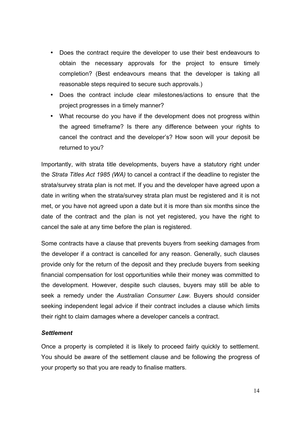- Does the contract require the developer to use their best endeavours to obtain the necessary approvals for the project to ensure timely completion? (Best endeavours means that the developer is taking all reasonable steps required to secure such approvals.)
- Does the contract include clear milestones/actions to ensure that the project progresses in a timely manner?
- What recourse do you have if the development does not progress within the agreed timeframe? Is there any difference between your rights to cancel the contract and the developer's? How soon will your deposit be returned to you?

Importantly, with strata title developments, buyers have a statutory right under the *Strata Titles Act 1985 (WA)* to cancel a contract if the deadline to register the strata/survey strata plan is not met. If you and the developer have agreed upon a date in writing when the strata/survey strata plan must be registered and it is not met, or you have not agreed upon a date but it is more than six months since the date of the contract and the plan is not yet registered, you have the right to cancel the sale at any time before the plan is registered.

Some contracts have a clause that prevents buyers from seeking damages from the developer if a contract is cancelled for any reason. Generally, such clauses provide only for the return of the deposit and they preclude buyers from seeking financial compensation for lost opportunities while their money was committed to the development. However, despite such clauses, buyers may still be able to seek a remedy under the *Australian Consumer Law*. Buyers should consider seeking independent legal advice if their contract includes a clause which limits their right to claim damages where a developer cancels a contract.

#### *Settlement*

Once a property is completed it is likely to proceed fairly quickly to settlement. You should be aware of the settlement clause and be following the progress of your property so that you are ready to finalise matters.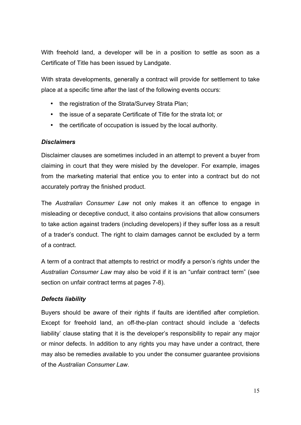With freehold land, a developer will be in a position to settle as soon as a Certificate of Title has been issued by Landgate.

With strata developments, generally a contract will provide for settlement to take place at a specific time after the last of the following events occurs:

- the registration of the Strata/Survey Strata Plan;
- the issue of a separate Certificate of Title for the strata lot; or
- the certificate of occupation is issued by the local authority.

#### *Disclaimers*

Disclaimer clauses are sometimes included in an attempt to prevent a buyer from claiming in court that they were misled by the developer. For example, images from the marketing material that entice you to enter into a contract but do not accurately portray the finished product.

The *Australian Consumer Law* not only makes it an offence to engage in misleading or deceptive conduct, it also contains provisions that allow consumers to take action against traders (including developers) if they suffer loss as a result of a trader's conduct. The right to claim damages cannot be excluded by a term of a contract.

A term of a contract that attempts to restrict or modify a person's rights under the *Australian Consumer Law* may also be void if it is an "unfair contract term" (see section on unfair contract terms at pages 7-8).

#### *Defects liability*

Buyers should be aware of their rights if faults are identified after completion. Except for freehold land, an off-the-plan contract should include a 'defects liability' clause stating that it is the developer's responsibility to repair any major or minor defects. In addition to any rights you may have under a contract, there may also be remedies available to you under the consumer guarantee provisions of the *Australian Consumer Law*.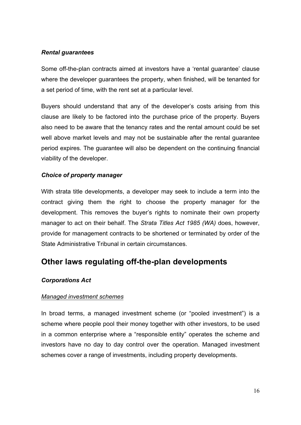#### *Rental guarantees*

Some off-the-plan contracts aimed at investors have a 'rental guarantee' clause where the developer guarantees the property, when finished, will be tenanted for a set period of time, with the rent set at a particular level.

Buyers should understand that any of the developer's costs arising from this clause are likely to be factored into the purchase price of the property. Buyers also need to be aware that the tenancy rates and the rental amount could be set well above market levels and may not be sustainable after the rental guarantee period expires. The guarantee will also be dependent on the continuing financial viability of the developer.

#### *Choice of property manager*

With strata title developments, a developer may seek to include a term into the contract giving them the right to choose the property manager for the development. This removes the buyer's rights to nominate their own property manager to act on their behalf. The *Strata Titles Act 1985 (WA)* does, however, provide for management contracts to be shortened or terminated by order of the State Administrative Tribunal in certain circumstances.

## **Other laws regulating off-the-plan developments**

#### *Corporations Act*

#### *Managed investment schemes*

In broad terms, a managed investment scheme (or "pooled investment") is a scheme where people pool their money together with other investors, to be used in a common enterprise where a "responsible entity" operates the scheme and investors have no day to day control over the operation. Managed investment schemes cover a range of investments, including property developments.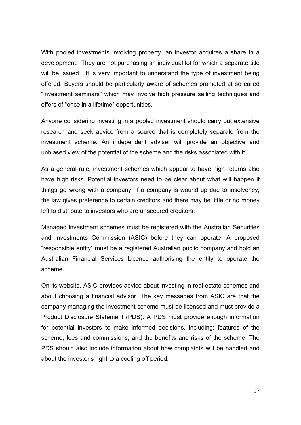With pooled investments involving property, an investor acquires a share in a development. They are not purchasing an individual lot for which a separate title will be issued. It is very important to understand the type of investment being offered. Buyers should be particularly aware of schemes promoted at so called "investment seminars" which may involve high pressure selling techniques and offers of "once in a lifetime" opportunities.

Anyone considering investing in a pooled investment should carry out extensive research and seek advice from a source that is completely separate from the investment scheme. An independent adviser will provide an objective and unbiased view of the potential of the scheme and the risks associated with it.

As a general rule, investment schemes which appear to have high returns also have high risks. Potential investors need to be clear about what will happen if things go wrong with a company. If a company is wound up due to insolvency, the law gives preference to certain creditors and there may be little or no money left to distribute to investors who are unsecured creditors.

Managed investment schemes must be registered with the Australian Securities and Investments Commission (ASIC) before they can operate. A proposed "responsible entity" must be a registered Australian public company and hold an Australian Financial Services Licence authorising the entity to operate the scheme.

On its website, ASIC provides advice about investing in real estate schemes and about choosing a financial advisor. The key messages from ASIC are that the company managing the investment scheme must be licensed and must provide a Product Disclosure Statement (PDS). A PDS must provide enough information for potential investors to make informed decisions, including: features of the scheme; fees and commissions; and the benefits and risks of the scheme. The PDS should also include information about how complaints will be handled and about the investor's right to a cooling off period.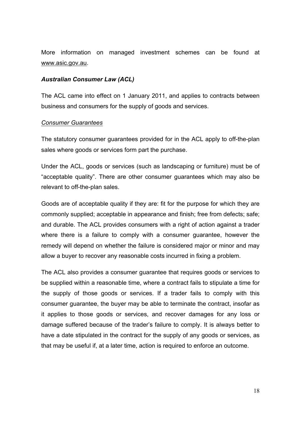More information on managed investment schemes can be found at www.asic.gov.au.

#### *Australian Consumer Law (ACL)*

The ACL came into effect on 1 January 2011, and applies to contracts between business and consumers for the supply of goods and services.

#### *Consumer Guarantees*

The statutory consumer guarantees provided for in the ACL apply to off-the-plan sales where goods or services form part the purchase.

Under the ACL, goods or services (such as landscaping or furniture) must be of "acceptable quality". There are other consumer guarantees which may also be relevant to off-the-plan sales.

Goods are of acceptable quality if they are: fit for the purpose for which they are commonly supplied; acceptable in appearance and finish; free from defects; safe; and durable. The ACL provides consumers with a right of action against a trader where there is a failure to comply with a consumer guarantee, however the remedy will depend on whether the failure is considered major or minor and may allow a buyer to recover any reasonable costs incurred in fixing a problem.

The ACL also provides a consumer guarantee that requires goods or services to be supplied within a reasonable time, where a contract fails to stipulate a time for the supply of those goods or services. If a trader fails to comply with this consumer guarantee, the buyer may be able to terminate the contract, insofar as it applies to those goods or services, and recover damages for any loss or damage suffered because of the trader's failure to comply. It is always better to have a date stipulated in the contract for the supply of any goods or services, as that may be useful if, at a later time, action is required to enforce an outcome.